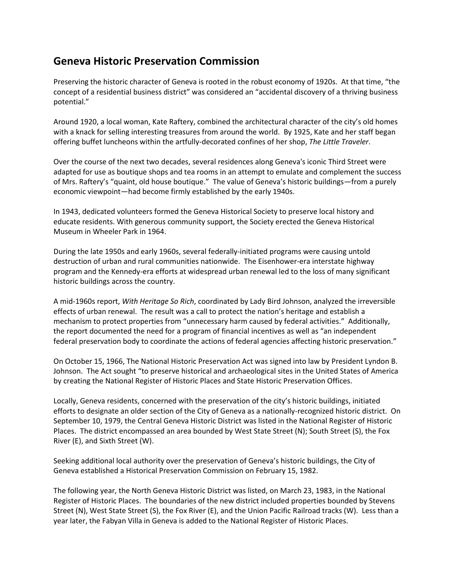## **Geneva Historic Preservation Commission**

Preserving the historic character of Geneva is rooted in the robust economy of 1920s. At that time, "the concept of a residential business district" was considered an "accidental discovery of a thriving business potential."

Around 1920, a local woman, Kate Raftery, combined the architectural character of the city's old homes with a knack for selling interesting treasures from around the world. By 1925, Kate and her staff began offering buffet luncheons within the artfully-decorated confines of her shop, *The Little Traveler*.

Over the course of the next two decades, several residences along Geneva's iconic Third Street were adapted for use as boutique shops and tea rooms in an attempt to emulate and complement the success of Mrs. Raftery's "quaint, old house boutique." The value of Geneva's historic buildings—from a purely economic viewpoint—had become firmly established by the early 1940s.

In 1943, dedicated volunteers formed the Geneva Historical Society to preserve local history and educate residents. With generous community support, the Society erected the Geneva Historical Museum in Wheeler Park in 1964.

During the late 1950s and early 1960s, several federally-initiated programs were causing untold destruction of urban and rural communities nationwide. The Eisenhower-era interstate highway program and the Kennedy-era efforts at widespread urban renewal led to the loss of many significant historic buildings across the country.

A mid-1960s report, *With Heritage So Rich*, coordinated by Lady Bird Johnson, analyzed the irreversible effects of urban renewal. The result was a call to protect the nation's heritage and establish a mechanism to protect properties from "unnecessary harm caused by federal activities." Additionally, the report documented the need for a program of financial incentives as well as "an independent federal preservation body to coordinate the actions of federal agencies affecting historic preservation."

On October 15, 1966, The National Historic Preservation Act was signed into law by President Lyndon B. Johnson. The Act sought "to preserve historical and archaeological sites in the United States of America by creating the National Register of Historic Places and State Historic Preservation Offices.

Locally, Geneva residents, concerned with the preservation of the city's historic buildings, initiated efforts to designate an older section of the City of Geneva as a nationally-recognized historic district. On September 10, 1979, the Central Geneva Historic District was listed in the National Register of Historic Places. The district encompassed an area bounded by West State Street (N); South Street (S), the Fox River (E), and Sixth Street (W).

Seeking additional local authority over the preservation of Geneva's historic buildings, the City of Geneva established a Historical Preservation Commission on February 15, 1982.

The following year, the North Geneva Historic District was listed, on March 23, 1983, in the National Register of Historic Places. The boundaries of the new district included properties bounded by Stevens Street (N), West State Street (S), the Fox River (E), and the Union Pacific Railroad tracks (W). Less than a year later, the Fabyan Villa in Geneva is added to the National Register of Historic Places.